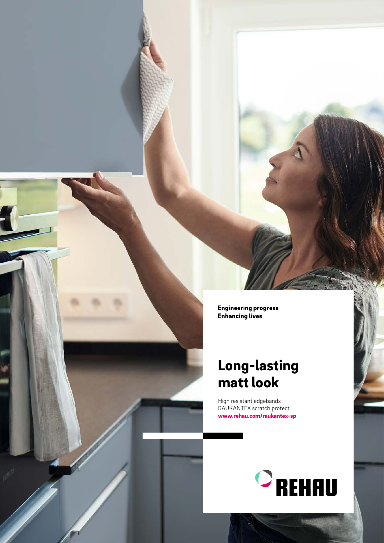**Engineering progress Enhancing lives** 

### Long-lasting matt look

High resistant edgebands RAUKANTEX scratch.protect www.rehau.com/raukantex-sp

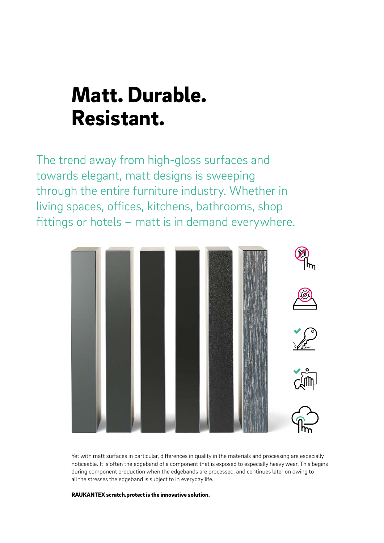## Matt. Durable. Resistant.

The trend away from high-gloss surfaces and towards elegant, matt designs is sweeping through the entire furniture industry. Whether in living spaces, offices, kitchens, bathrooms, shop fittings or hotels – matt is in demand everywhere.



Yet with matt surfaces in particular, differences in quality in the materials and processing are especially noticeable. It is often the edgeband of a component that is exposed to especially heavy wear. This begins during component production when the edgebands are processed, and continues later on owing to all the stresses the edgeband is subject to in everyday life.

RAUKANTEX scratch.protect is the innovative solution.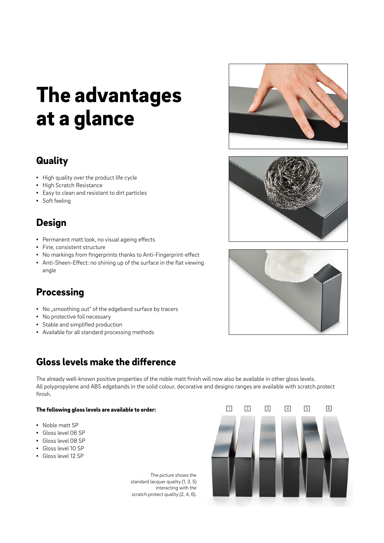# The advantages at a glance

#### **Quality**

- High quality over the product life cycle
- **·** High Scratch Resistance
- Easy to clean and resistant to dirt particles
- Soft feeling

### **Design**

- Permanent matt look, no visual ageing effects
- Fine, consistent structure
- No markings from fingerprints thanks to Anti-Fingerprint-effect
- **•** Anti-Sheen-Effect: no shining up of the surface in the flat viewing angle

### **Processing**

- No "smoothing out" of the edgeband surface by tracers
- No protective foil necessary
- Stable and simplified production
- Available for all standard processing methods

### Gloss levels make the difference

The already well-known positive properties of the noble matt finish will now also be available in other gloss levels. All polypropylene and ABS edgebands in the solid colour, decorative and designo ranges are available with scratch.protect finish.

#### The following gloss levels are available to order:

- Noble matt SP
- Gloss level 06 SP
- Gloss level 08 SP
- Gloss level 10 SP
- Gloss level 12 SP

The picture shows the standard lacquer quality (1, 3, 5) interacting with the scratch.protect quality (2, 4, 6).